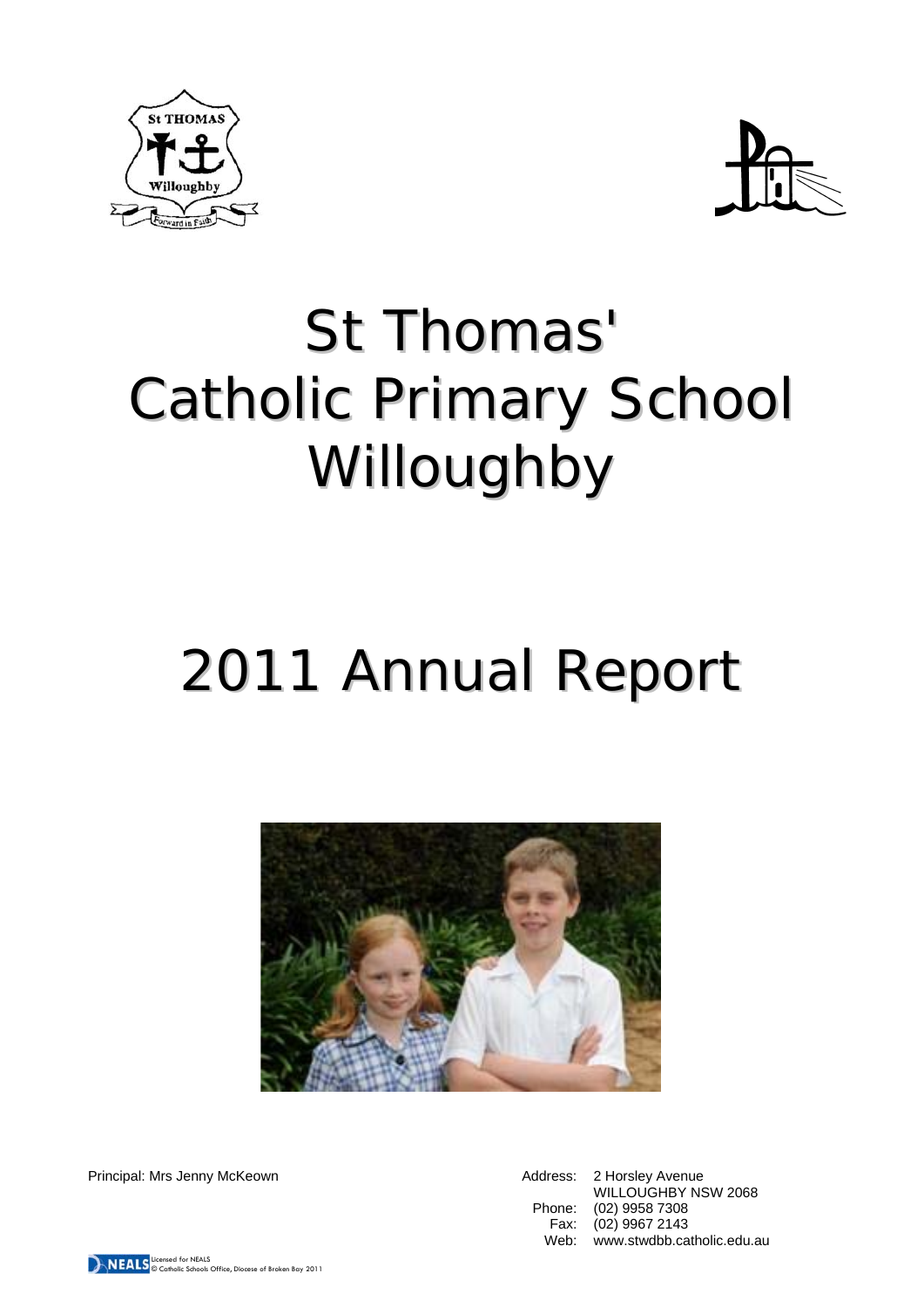



# St Thomas' Catholic Primary School Willoughby

# 2011 Annual Report



Principal: Mrs Jenny McKeown **Address: 2 Horsley Avenue** Address: 2 Horsley Avenue

WILLOUGHBY NSW 2068 Phone: (02) 9958 7308 Fax: (02) 9967 2143 Web: www.stwdbb.catholic.edu.au

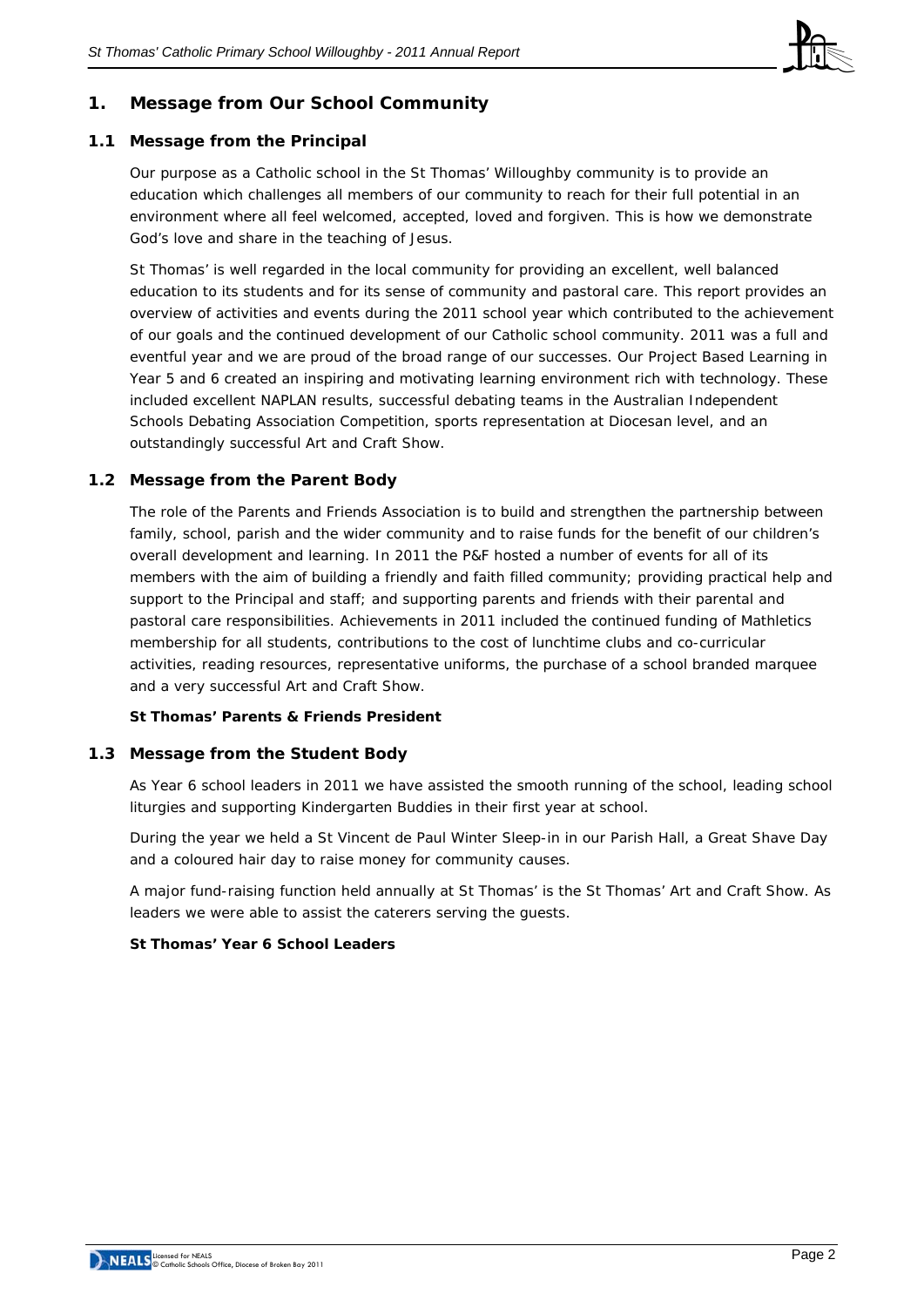

# **1. Message from Our School Community**

#### **1.1 Message from the Principal**

Our purpose as a Catholic school in the St Thomas' Willoughby community is to provide an education which challenges all members of our community to reach for their full potential in an environment where all feel welcomed, accepted, loved and forgiven. This is how we demonstrate God's love and share in the teaching of Jesus.

St Thomas' is well regarded in the local community for providing an excellent, well balanced education to its students and for its sense of community and pastoral care. This report provides an overview of activities and events during the 2011 school year which contributed to the achievement of our goals and the continued development of our Catholic school community. 2011 was a full and eventful year and we are proud of the broad range of our successes. Our Project Based Learning in Year 5 and 6 created an inspiring and motivating learning environment rich with technology. These included excellent NAPLAN results, successful debating teams in the Australian Independent Schools Debating Association Competition, sports representation at Diocesan level, and an outstandingly successful Art and Craft Show.

#### **1.2 Message from the Parent Body**

The role of the Parents and Friends Association is to build and strengthen the partnership between family, school, parish and the wider community and to raise funds for the benefit of our children's overall development and learning. In 2011 the P&F hosted a number of events for all of its members with the aim of building a friendly and faith filled community; providing practical help and support to the Principal and staff; and supporting parents and friends with their parental and pastoral care responsibilities. Achievements in 2011 included the continued funding of Mathletics membership for all students, contributions to the cost of lunchtime clubs and co-curricular activities, reading resources, representative uniforms, the purchase of a school branded marquee and a very successful Art and Craft Show.

#### **St Thomas' Parents & Friends President**

#### **1.3 Message from the Student Body**

As Year 6 school leaders in 2011 we have assisted the smooth running of the school, leading school liturgies and supporting Kindergarten Buddies in their first year at school.

During the year we held a St Vincent de Paul Winter Sleep-in in our Parish Hall, a Great Shave Day and a coloured hair day to raise money for community causes.

A major fund-raising function held annually at St Thomas' is the St Thomas' Art and Craft Show. As leaders we were able to assist the caterers serving the guests.

#### **St Thomas' Year 6 School Leaders**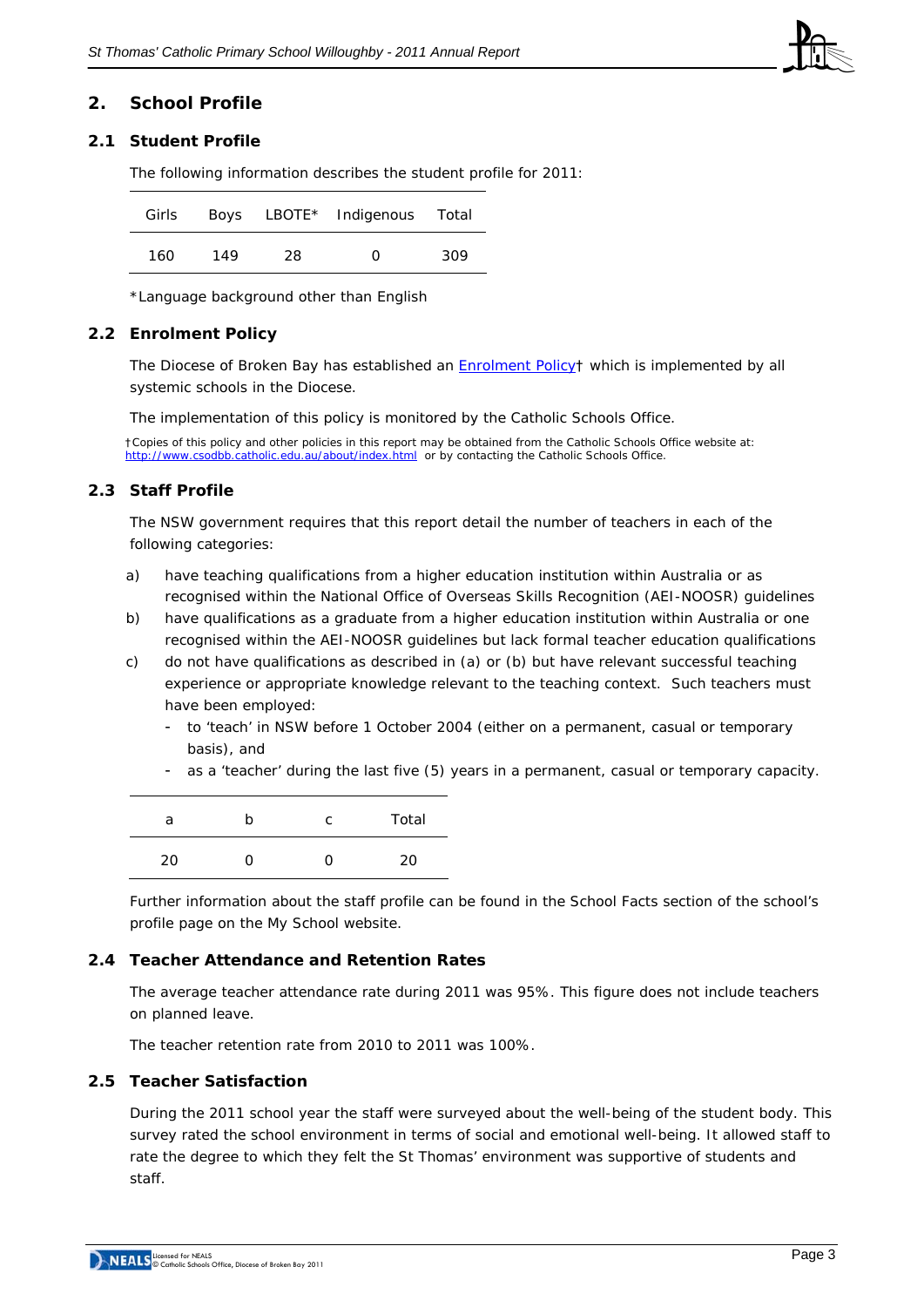

#### **2. School Profile**

#### **2.1 Student Profile**

The following information describes the student profile for 2011:

| Girls |     |    | Boys LBOTE* Indigenous Total |     |
|-------|-----|----|------------------------------|-----|
| 160   | 149 | 28 | O                            | 309 |

\*Language background other than English

#### **2.2 Enrolment Policy**

The Diocese of Broken Bay has established an [Enrolment Policy](http://www.cso.brokenbay.catholic.edu.au/resources/pdfs/Policy-Enrolment_Apr2006.pdf)† which is implemented by all systemic schools in the Diocese.

The implementation of this policy is monitored by the Catholic Schools Office.

†Copies of this policy and other policies in this report may be obtained from the Catholic Schools Office website at: <http://www.csodbb.catholic.edu.au/about/index.html>or by contacting the Catholic Schools Office.

#### **2.3 Staff Profile**

The NSW government requires that this report detail the number of teachers in each of the following categories:

- a) have teaching qualifications from a higher education institution within Australia or as recognised within the National Office of Overseas Skills Recognition (AEI-NOOSR) guidelines
- b) have qualifications as a graduate from a higher education institution within Australia or one recognised within the AEI-NOOSR guidelines but lack formal teacher education qualifications
- c) do not have qualifications as described in (a) or (b) but have relevant successful teaching experience or appropriate knowledge relevant to the teaching context. Such teachers must have been employed:
	- to 'teach' in NSW before 1 October 2004 (either on a permanent, casual or temporary basis), and
	- as a 'teacher' during the last five (5) years in a permanent, casual or temporary capacity.

| а  | n | C | Total |
|----|---|---|-------|
| 20 |   | 0 | ንበ    |

Further information about the staff profile can be found in the School Facts section of the school's profile page on the *My School* website.

#### **2.4 Teacher Attendance and Retention Rates**

The average teacher attendance rate during 2011 was 95%. This figure does not include teachers on planned leave.

The teacher retention rate from 2010 to 2011 was 100%.

#### **2.5 Teacher Satisfaction**

During the 2011 school year the staff were surveyed about the well-being of the student body. This survey rated the school environment in terms of social and emotional well-being. It allowed staff to rate the degree to which they felt the St Thomas' environment was supportive of students and staff.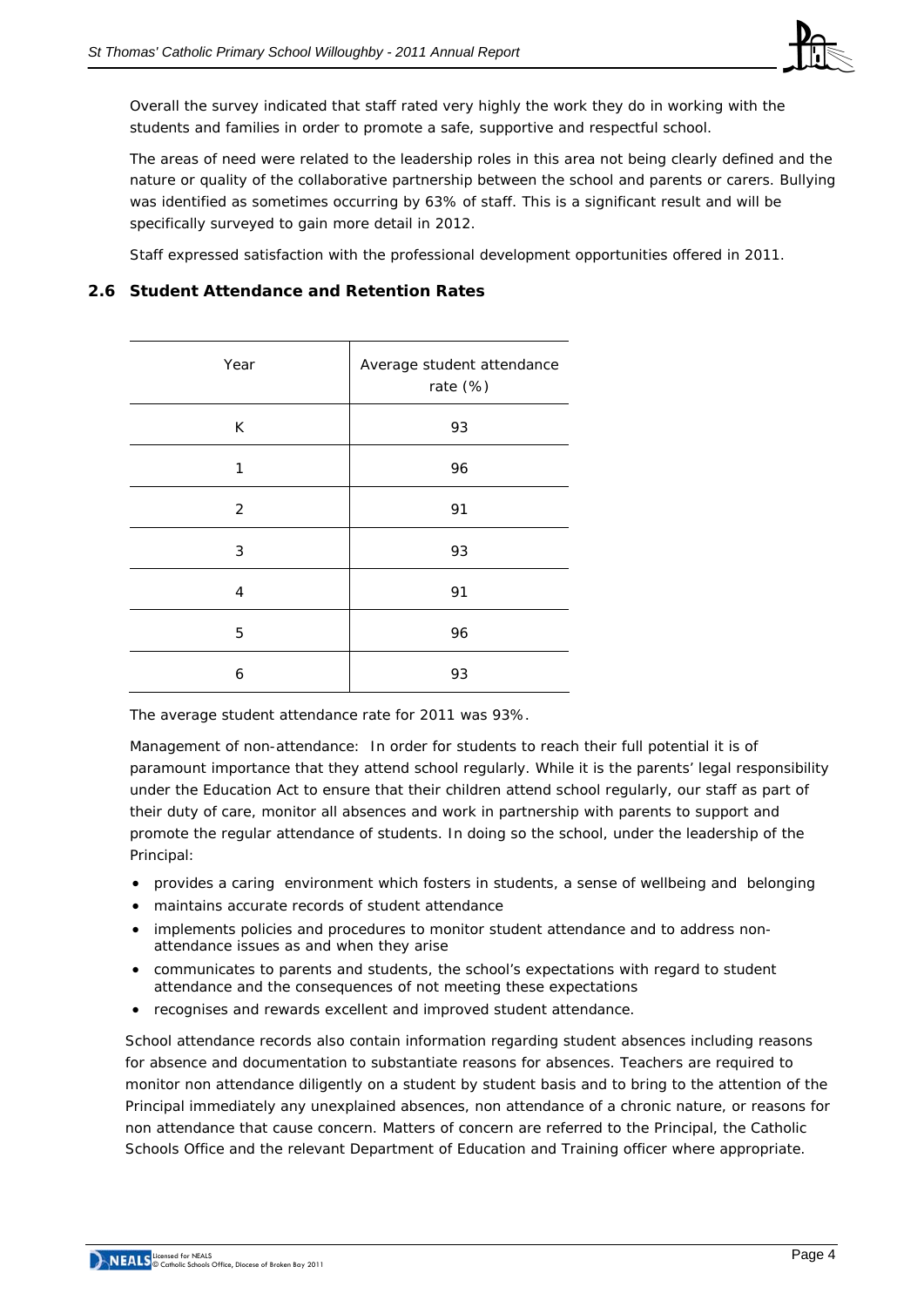

Overall the survey indicated that staff rated very highly the work they do in working with the students and families in order to promote a safe, supportive and respectful school.

The areas of need were related to the leadership roles in this area not being clearly defined and the nature or quality of the collaborative partnership between the school and parents or carers. Bullying was identified as sometimes occurring by 63% of staff. This is a significant result and will be specifically surveyed to gain more detail in 2012.

Staff expressed satisfaction with the professional development opportunities offered in 2011.

# **2.6 Student Attendance and Retention Rates**

| Year | Average student attendance<br>rate (%) |  |  |
|------|----------------------------------------|--|--|
| К    | 93                                     |  |  |
| 1    | 96                                     |  |  |
| 2    | 91                                     |  |  |
| 3    | 93                                     |  |  |
| 4    | 91                                     |  |  |
| 5    | 96                                     |  |  |
| 6    | 93                                     |  |  |

The average student attendance rate for 2011 was 93%.

Management of non-attendance: In order for students to reach their full potential it is of paramount importance that they attend school regularly. While it is the parents' legal responsibility under the Education Act to ensure that their children attend school regularly, our staff as part of their duty of care, monitor all absences and work in partnership with parents to support and promote the regular attendance of students. In doing so the school, under the leadership of the Principal:

- provides a caring environment which fosters in students, a sense of wellbeing and belonging
- maintains accurate records of student attendance
- implements policies and procedures to monitor student attendance and to address nonattendance issues as and when they arise
- communicates to parents and students, the school's expectations with regard to student attendance and the consequences of not meeting these expectations
- recognises and rewards excellent and improved student attendance.

School attendance records also contain information regarding student absences including reasons for absence and documentation to substantiate reasons for absences. Teachers are required to monitor non attendance diligently on a student by student basis and to bring to the attention of the Principal immediately any unexplained absences, non attendance of a chronic nature, or reasons for non attendance that cause concern. Matters of concern are referred to the Principal, the Catholic Schools Office and the relevant Department of Education and Training officer where appropriate.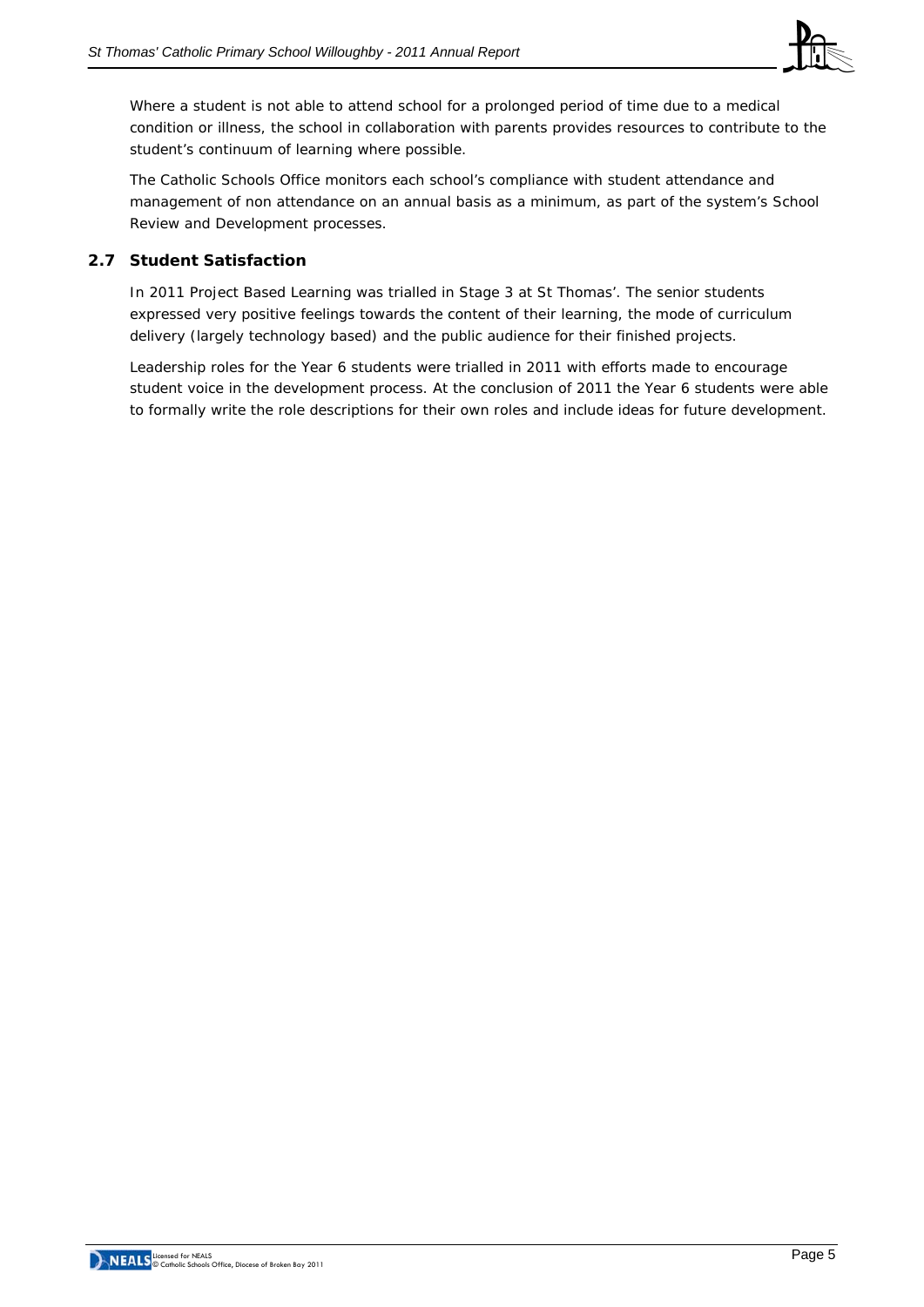

Where a student is not able to attend school for a prolonged period of time due to a medical condition or illness, the school in collaboration with parents provides resources to contribute to the student's continuum of learning where possible.

The Catholic Schools Office monitors each school's compliance with student attendance and management of non attendance on an annual basis as a minimum, as part of the system's School Review and Development processes.

# **2.7 Student Satisfaction**

In 2011 Project Based Learning was trialled in Stage 3 at St Thomas'. The senior students expressed very positive feelings towards the content of their learning, the mode of curriculum delivery (largely technology based) and the public audience for their finished projects.

Leadership roles for the Year 6 students were trialled in 2011 with efforts made to encourage student voice in the development process. At the conclusion of 2011 the Year 6 students were able to formally write the role descriptions for their own roles and include ideas for future development.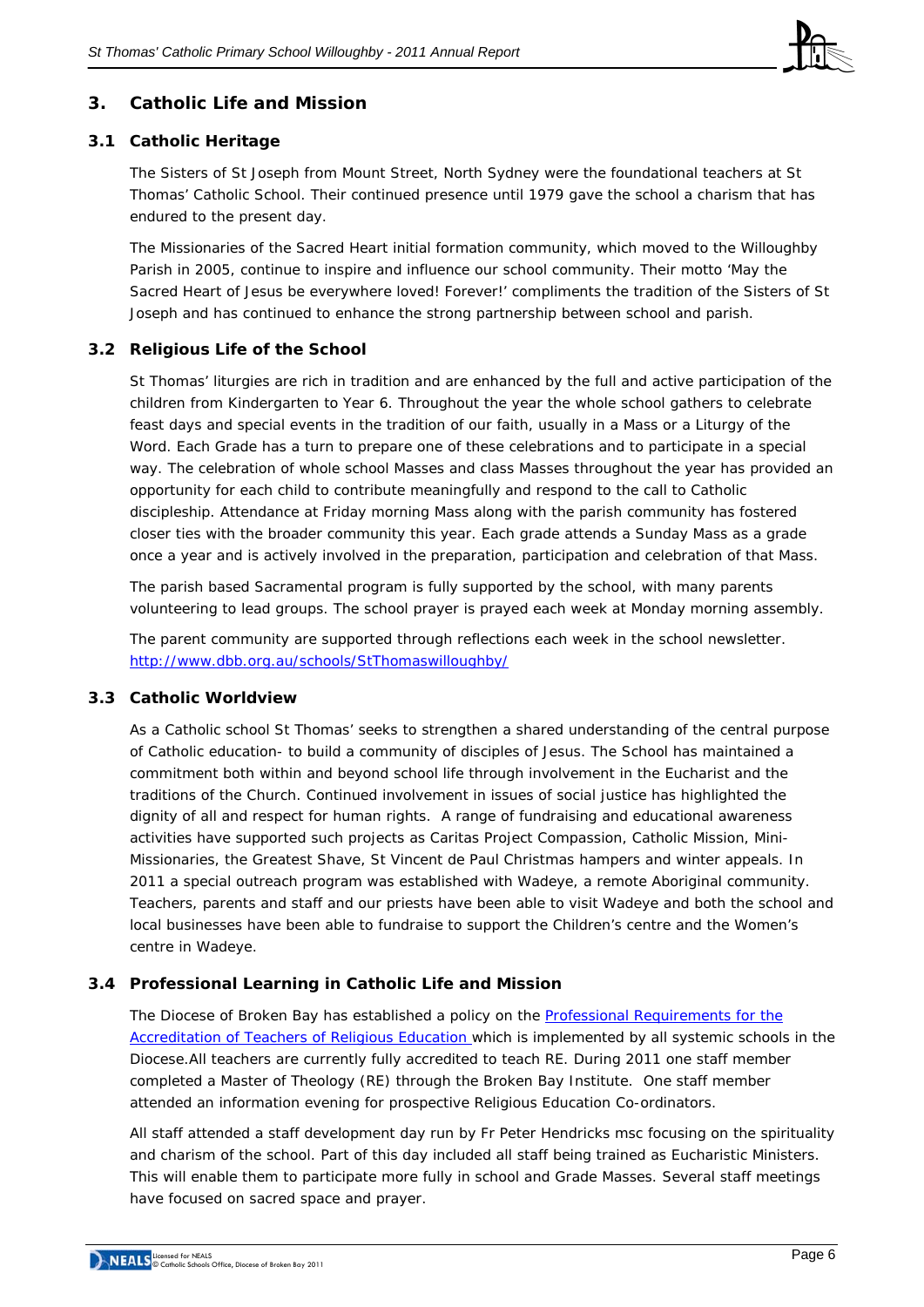

# **3. Catholic Life and Mission**

#### **3.1 Catholic Heritage**

The Sisters of St Joseph from Mount Street, North Sydney were the foundational teachers at St Thomas' Catholic School. Their continued presence until 1979 gave the school a charism that has endured to the present day.

The Missionaries of the Sacred Heart initial formation community, which moved to the Willoughby Parish in 2005, continue to inspire and influence our school community. Their motto 'May the Sacred Heart of Jesus be everywhere loved! Forever!' compliments the tradition of the Sisters of St Joseph and has continued to enhance the strong partnership between school and parish.

#### **3.2 Religious Life of the School**

St Thomas' liturgies are rich in tradition and are enhanced by the full and active participation of the children from Kindergarten to Year 6. Throughout the year the whole school gathers to celebrate feast days and special events in the tradition of our faith, usually in a Mass or a Liturgy of the Word. Each Grade has a turn to prepare one of these celebrations and to participate in a special way. The celebration of whole school Masses and class Masses throughout the year has provided an opportunity for each child to contribute meaningfully and respond to the call to Catholic discipleship. Attendance at Friday morning Mass along with the parish community has fostered closer ties with the broader community this year. Each grade attends a Sunday Mass as a grade once a year and is actively involved in the preparation, participation and celebration of that Mass.

The parish based Sacramental program is fully supported by the school, with many parents volunteering to lead groups. The school prayer is prayed each week at Monday morning assembly.

The parent community are supported through reflections each week in the school newsletter. <http://www.dbb.org.au/schools/StThomaswilloughby/>

#### **3.3 Catholic Worldview**

As a Catholic school St Thomas' seeks to strengthen a shared understanding of the central purpose of Catholic education- to build a community of disciples of Jesus. The School has maintained a commitment both within and beyond school life through involvement in the Eucharist and the traditions of the Church. Continued involvement in issues of social justice has highlighted the dignity of all and respect for human rights. A range of fundraising and educational awareness activities have supported such projects as Caritas Project Compassion, Catholic Mission, Mini-Missionaries, the Greatest Shave, St Vincent de Paul Christmas hampers and winter appeals. In 2011 a special outreach program was established with Wadeye, a remote Aboriginal community. Teachers, parents and staff and our priests have been able to visit Wadeye and both the school and local businesses have been able to fundraise to support the Children's centre and the Women's centre in Wadeye.

# **3.4 Professional Learning in Catholic Life and Mission**

The Diocese of Broken Bay has established a policy on the [Professional Requirements for the](http://www.cso.brokenbay.catholic.edu.au/resources/pdfs/Policy-Rqs_Accrd_Tchrs_RE.pdf)  [Accreditation of Teachers of Religious Education](http://www.cso.brokenbay.catholic.edu.au/resources/pdfs/Policy-Rqs_Accrd_Tchrs_RE.pdf) which is implemented by all systemic schools in the Diocese.All teachers are currently fully accredited to teach RE. During 2011 one staff member completed a Master of Theology (RE) through the Broken Bay Institute. One staff member attended an information evening for prospective Religious Education Co-ordinators.

All staff attended a staff development day run by Fr Peter Hendricks msc focusing on the spirituality and charism of the school. Part of this day included all staff being trained as Eucharistic Ministers. This will enable them to participate more fully in school and Grade Masses. Several staff meetings have focused on sacred space and prayer.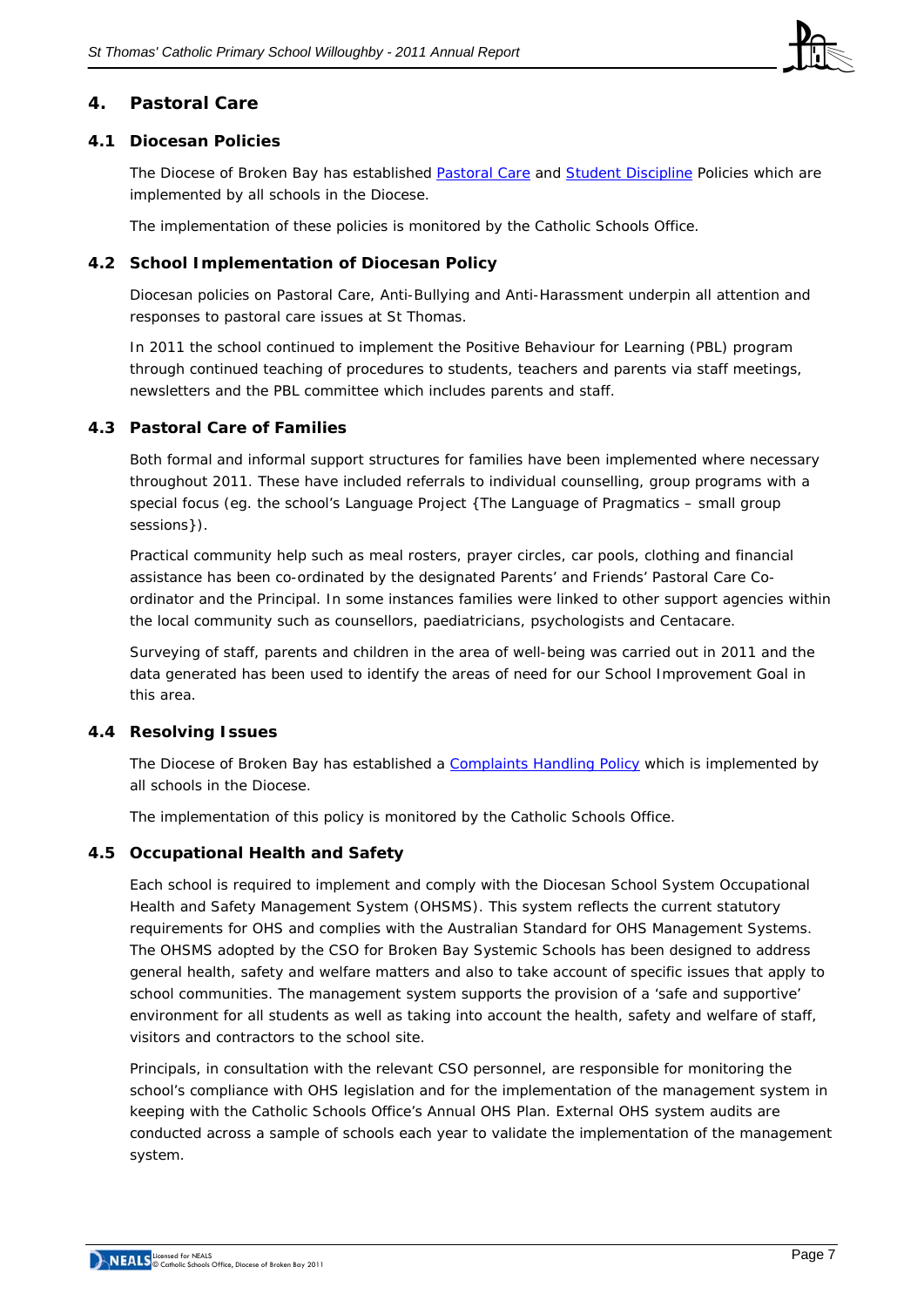

# **4. Pastoral Care**

#### **4.1 Diocesan Policies**

The Diocese of Broken Bay has established [Pastoral Care](http://www.cso.brokenbay.catholic.edu.au/resources/pdfs/Policy-Pastoral_Care_Oct05.pdf) and [Student Discipline](http://www.cso.brokenbay.catholic.edu.au/resources/pdfs/Policy_-_Student_Discipline_Policy_Oct05.pdf) Policies which are implemented by all schools in the Diocese.

The implementation of these policies is monitored by the Catholic Schools Office.

# **4.2 School Implementation of Diocesan Policy**

Diocesan policies on Pastoral Care, Anti-Bullying and Anti-Harassment underpin all attention and responses to pastoral care issues at St Thomas.

In 2011 the school continued to implement the Positive Behaviour for Learning (PBL) program through continued teaching of procedures to students, teachers and parents via staff meetings, newsletters and the PBL committee which includes parents and staff.

#### **4.3 Pastoral Care of Families**

Both formal and informal support structures for families have been implemented where necessary throughout 2011. These have included referrals to individual counselling, group programs with a special focus (eg. the school's Language Project {The Language of Pragmatics – small group sessions}).

Practical community help such as meal rosters, prayer circles, car pools, clothing and financial assistance has been co-ordinated by the designated Parents' and Friends' Pastoral Care Coordinator and the Principal. In some instances families were linked to other support agencies within the local community such as counsellors, paediatricians, psychologists and Centacare.

Surveying of staff, parents and children in the area of well-being was carried out in 2011 and the data generated has been used to identify the areas of need for our School Improvement Goal in this area.

# **4.4 Resolving Issues**

The Diocese of Broken Bay has established a [Complaints Handling Policy](http://www.cso.brokenbay.catholic.edu.au/resources/pdfs/Policy-Complaints_Handling.pdf) which is implemented by all schools in the Diocese.

The implementation of this policy is monitored by the Catholic Schools Office.

# **4.5 Occupational Health and Safety**

Each school is required to implement and comply with the Diocesan School System Occupational Health and Safety Management System (OHSMS). This system reflects the current statutory requirements for OHS and complies with the Australian Standard for OHS Management Systems. The OHSMS adopted by the CSO for Broken Bay Systemic Schools has been designed to address general health, safety and welfare matters and also to take account of specific issues that apply to school communities. The management system supports the provision of a 'safe and supportive' environment for all students as well as taking into account the health, safety and welfare of staff, visitors and contractors to the school site.

Principals, in consultation with the relevant CSO personnel, are responsible for monitoring the school's compliance with OHS legislation and for the implementation of the management system in keeping with the Catholic Schools Office's Annual OHS Plan. External OHS system audits are conducted across a sample of schools each year to validate the implementation of the management system.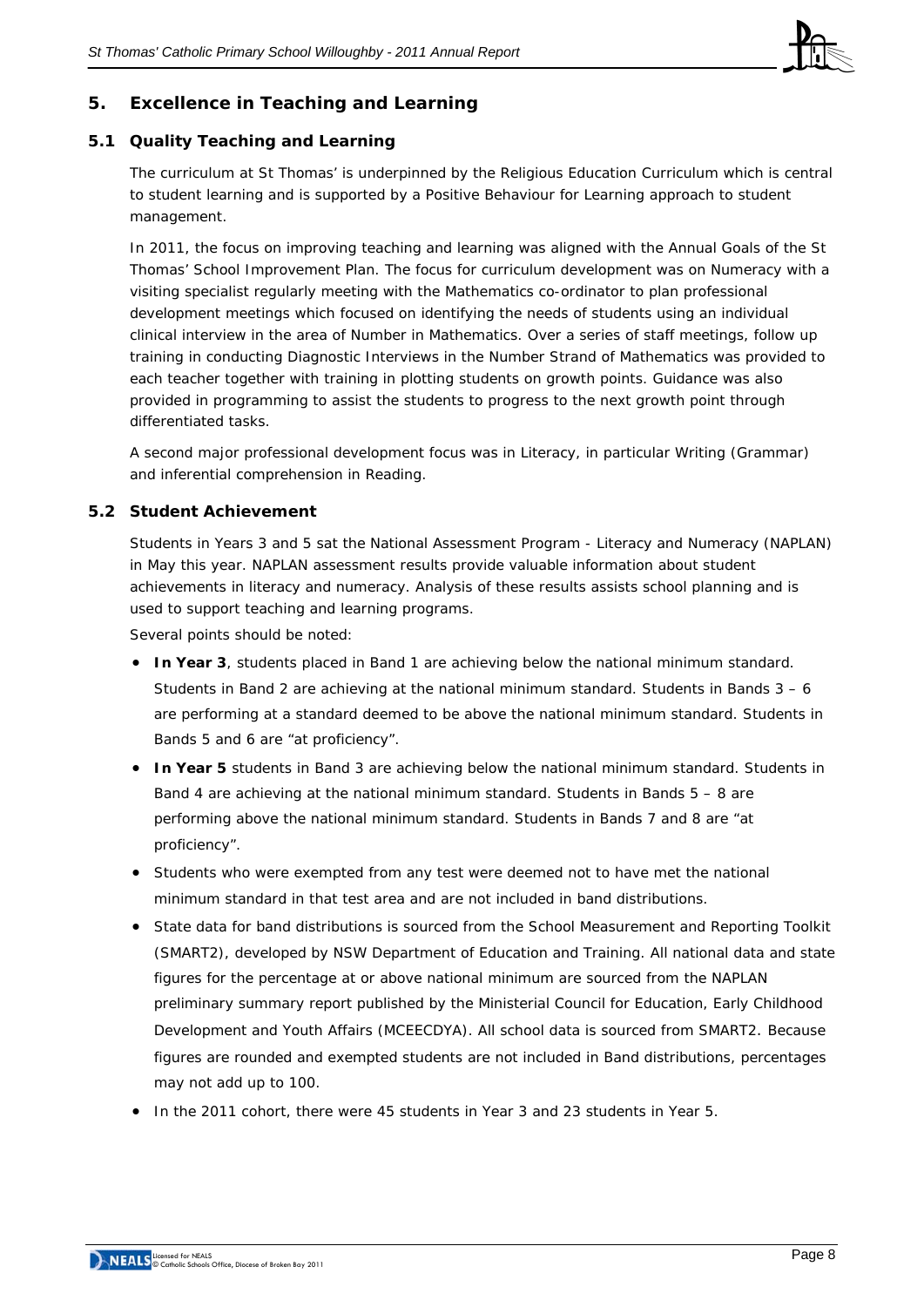

# **5. Excellence in Teaching and Learning**

# **5.1 Quality Teaching and Learning**

The curriculum at St Thomas' is underpinned by the Religious Education Curriculum which is central to student learning and is supported by a Positive Behaviour for Learning approach to student management.

In 2011, the focus on improving teaching and learning was aligned with the Annual Goals of the St Thomas' School Improvement Plan. The focus for curriculum development was on Numeracy with a visiting specialist regularly meeting with the Mathematics co-ordinator to plan professional development meetings which focused on identifying the needs of students using an individual clinical interview in the area of Number in Mathematics. Over a series of staff meetings, follow up training in conducting Diagnostic Interviews in the Number Strand of Mathematics was provided to each teacher together with training in plotting students on growth points. Guidance was also provided in programming to assist the students to progress to the next growth point through differentiated tasks.

A second major professional development focus was in Literacy, in particular Writing (Grammar) and inferential comprehension in Reading.

#### **5.2 Student Achievement**

Students in Years 3 and 5 sat the *National Assessment Program - Literacy and Numeracy* (NAPLAN) in May this year. NAPLAN assessment results provide valuable information about student achievements in literacy and numeracy. Analysis of these results assists school planning and is used to support teaching and learning programs.

Several points should be noted:

- **In Year 3**, students placed in Band 1 are achieving below the national minimum standard. Students in Band 2 are achieving at the national minimum standard. Students in Bands 3 – 6 are performing at a standard deemed to be above the national minimum standard. Students in Bands 5 and 6 are "at proficiency".
- **In Year 5** students in Band 3 are achieving below the national minimum standard. Students in Band 4 are achieving at the national minimum standard. Students in Bands 5 – 8 are performing above the national minimum standard. Students in Bands 7 and 8 are "at proficiency".
- Students who were exempted from any test were deemed not to have met the national minimum standard in that test area and are not included in band distributions.
- State data for band distributions is sourced from the School Measurement and Reporting Toolkit (SMART2), developed by NSW Department of Education and Training. All national data and state figures for the percentage at or above national minimum are sourced from the NAPLAN preliminary summary report published by the Ministerial Council for Education, Early Childhood Development and Youth Affairs (MCEECDYA). All school data is sourced from SMART2. Because figures are rounded and exempted students are not included in Band distributions, percentages may not add up to 100.
- In the 2011 cohort, there were 45 students in Year 3 and 23 students in Year 5.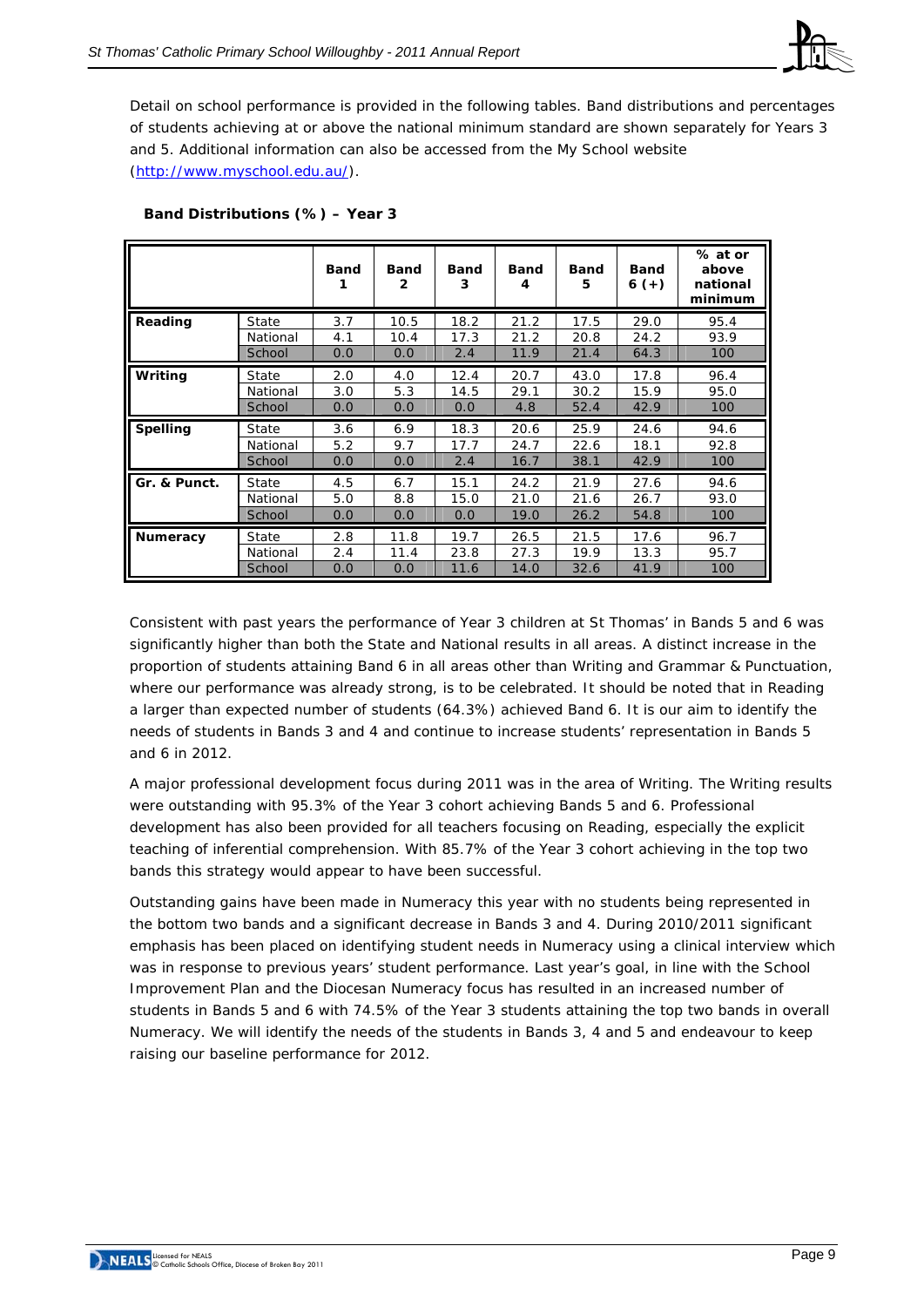

Detail on school performance is provided in the following tables. Band distributions and percentages of students achieving at or above the national minimum standard are shown separately for Years 3 and 5. Additional information can also be accessed from the My School website ([http://www.myschool.edu.au/\)](http://www.myschool.edu.au/).

|                 |          | <b>Band</b> | <b>Band</b><br>$\mathbf{2}$ | Band<br>3 | <b>Band</b><br>4 | <b>Band</b><br>5 | <b>Band</b><br>$6 (+)$ | % at or<br>above<br>national<br>minimum |
|-----------------|----------|-------------|-----------------------------|-----------|------------------|------------------|------------------------|-----------------------------------------|
| Reading         | State    | 3.7         | 10.5                        | 18.2      | 21.2             | 17.5             | 29.0                   | 95.4                                    |
|                 | National | 4.1         | 10.4                        | 17.3      | 21.2             | 20.8             | 24.2                   | 93.9                                    |
|                 | School   | 0.0         | 0.0                         | 2.4       | 11.9             | 21.4             | 64.3                   | 100                                     |
| Writing         | State    | 2.0         | 4.0                         | 12.4      | 20.7             | 43.0             | 17.8                   | 96.4                                    |
|                 | National | 3.0         | 5.3                         | 14.5      | 29.1             | 30.2             | 15.9                   | 95.0                                    |
|                 | School   | 0.0         | 0.0                         | 0.0       | 4.8              | 52.4             | 42.9                   | 100                                     |
| <b>Spelling</b> | State    | 3.6         | 6.9                         | 18.3      | 20.6             | 25.9             | 24.6                   | 94.6                                    |
|                 | National | 5.2         | 9.7                         | 17.7      | 24.7             | 22.6             | 18.1                   | 92.8                                    |
|                 | School   | 0.0         | 0.0                         | 2.4       | 16.7             | 38.1             | 42.9                   | 100                                     |
| Gr. & Punct.    | State    | 4.5         | 6.7                         | 15.1      | 24.2             | 21.9             | 27.6                   | 94.6                                    |
|                 | National | 5.0         | 8.8                         | 15.0      | 21.0             | 21.6             | 26.7                   | 93.0                                    |
|                 | School   | 0.0         | 0.0                         | 0.0       | 19.0             | 26.2             | 54.8                   | 100                                     |
| <b>Numeracy</b> | State    | 2.8         | 11.8                        | 19.7      | 26.5             | 21.5             | 17.6                   | 96.7                                    |
|                 | National | 2.4         | 11.4                        | 23.8      | 27.3             | 19.9             | 13.3                   | 95.7                                    |
|                 | School   | 0.0         | 0.0                         | 11.6      | 14.0             | 32.6             | 41.9                   | 100                                     |

#### **Band Distributions (%) – Year 3**

Consistent with past years the performance of Year 3 children at St Thomas' in Bands 5 and 6 was significantly higher than both the State and National results in all areas. A distinct increase in the proportion of students attaining Band 6 in all areas other than Writing and Grammar & Punctuation, where our performance was already strong, is to be celebrated. It should be noted that in Reading a larger than expected number of students (64.3%) achieved Band 6. It is our aim to identify the needs of students in Bands 3 and 4 and continue to increase students' representation in Bands 5 and 6 in 2012.

A major professional development focus during 2011 was in the area of Writing. The Writing results were outstanding with 95.3% of the Year 3 cohort achieving Bands 5 and 6. Professional development has also been provided for all teachers focusing on Reading, especially the explicit teaching of inferential comprehension. With 85.7% of the Year 3 cohort achieving in the top two bands this strategy would appear to have been successful.

Outstanding gains have been made in Numeracy this year with no students being represented in the bottom two bands and a significant decrease in Bands 3 and 4. During 2010/2011 significant emphasis has been placed on identifying student needs in Numeracy using a clinical interview which was in response to previous years' student performance. Last year's goal, in line with the School Improvement Plan and the Diocesan Numeracy focus has resulted in an increased number of students in Bands 5 and 6 with 74.5% of the Year 3 students attaining the top two bands in overall Numeracy. We will identify the needs of the students in Bands 3, 4 and 5 and endeavour to keep raising our baseline performance for 2012.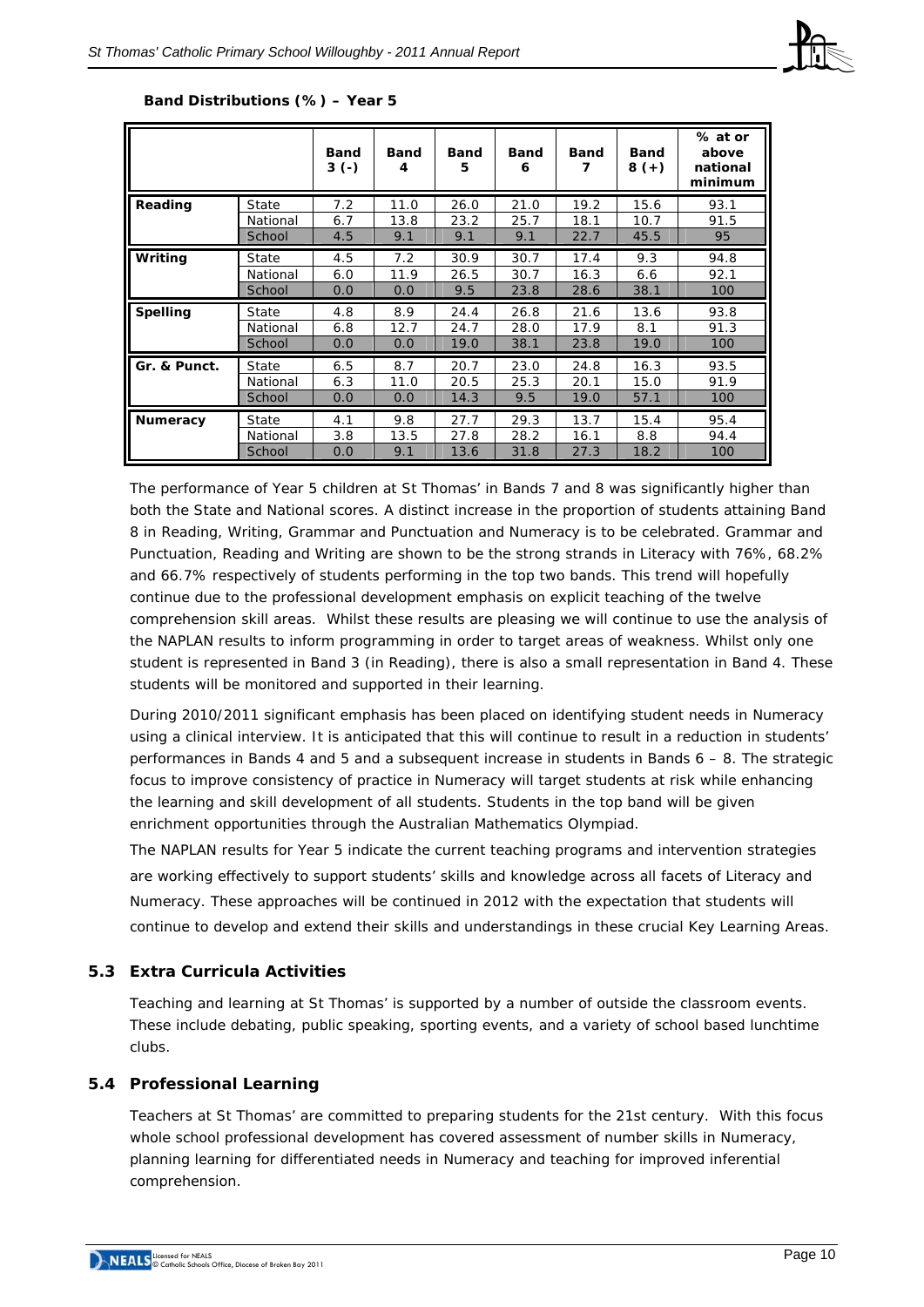

|                 |          | <b>Band</b><br>$3(-)$ | <b>Band</b><br>4 | Band<br>5 | <b>Band</b><br>6 | <b>Band</b> | <b>Band</b><br>$8 (+)$ | % at or<br>above<br>national<br>minimum |
|-----------------|----------|-----------------------|------------------|-----------|------------------|-------------|------------------------|-----------------------------------------|
| Reading         | State    | 7.2                   | 11.0             | 26.0      | 21.0             | 19.2        | 15.6                   | 93.1                                    |
|                 | National | 6.7                   | 13.8             | 23.2      | 25.7             | 18.1        | 10.7                   | 91.5                                    |
|                 | School   | 4.5                   | 9.1              | 9.1       | 9.1              | 22.7        | 45.5                   | 95                                      |
| Writing         | State    | 4.5                   | 7.2              | 30.9      | 30.7             | 17.4        | 9.3                    | 94.8                                    |
|                 | National | 6.0                   | 11.9             | 26.5      | 30.7             | 16.3        | 6.6                    | 92.1                                    |
|                 | School   | 0.0                   | 0.0              | 9.5       | 23.8             | 28.6        | 38.1                   | 100                                     |
| <b>Spelling</b> | State    | 4.8                   | 8.9              | 24.4      | 26.8             | 21.6        | 13.6                   | 93.8                                    |
|                 | National | 6.8                   | 12.7             | 24.7      | 28.0             | 17.9        | 8.1                    | 91.3                                    |
|                 | School   | 0.0                   | 0.0              | 19.0      | 38.1             | 23.8        | 19.0                   | 100                                     |
| Gr. & Punct.    | State    | 6.5                   | 8.7              | 20.7      | 23.0             | 24.8        | 16.3                   | 93.5                                    |
|                 | National | 6.3                   | 11.0             | 20.5      | 25.3             | 20.1        | 15.0                   | 91.9                                    |
|                 | School   | 0.0                   | 0.0              | 14.3      | 9.5              | 19.0        | 57.1                   | 100                                     |
| Numeracy        | State    | 4.1                   | 9.8              | 27.7      | 29.3             | 13.7        | 15.4                   | 95.4                                    |
|                 | National | 3.8                   | 13.5             | 27.8      | 28.2             | 16.1        | 8.8                    | 94.4                                    |
|                 | School   | 0.0                   | 9.1              | 13.6      | 31.8             | 27.3        | 18.2                   | 100                                     |

#### **Band Distributions (%) – Year 5**

The performance of Year 5 children at St Thomas' in Bands 7 and 8 was significantly higher than both the State and National scores. A distinct increase in the proportion of students attaining Band 8 in Reading, Writing, Grammar and Punctuation and Numeracy is to be celebrated. Grammar and Punctuation, Reading and Writing are shown to be the strong strands in Literacy with 76%, 68.2% and 66.7% respectively of students performing in the top two bands. This trend will hopefully continue due to the professional development emphasis on explicit teaching of the twelve comprehension skill areas. Whilst these results are pleasing we will continue to use the analysis of the NAPLAN results to inform programming in order to target areas of weakness. Whilst only one student is represented in Band 3 (in Reading), there is also a small representation in Band 4. These students will be monitored and supported in their learning.

During 2010/2011 significant emphasis has been placed on identifying student needs in Numeracy using a clinical interview. It is anticipated that this will continue to result in a reduction in students' performances in Bands 4 and 5 and a subsequent increase in students in Bands 6 – 8. The strategic focus to improve consistency of practice in Numeracy will target students at risk while enhancing the learning and skill development of all students. Students in the top band will be given enrichment opportunities through the Australian Mathematics Olympiad.

The NAPLAN results for Year 5 indicate the current teaching programs and intervention strategies are working effectively to support students' skills and knowledge across all facets of Literacy and Numeracy. These approaches will be continued in 2012 with the expectation that students will continue to develop and extend their skills and understandings in these crucial Key Learning Areas.

#### **5.3 Extra Curricula Activities**

Teaching and learning at St Thomas' is supported by a number of outside the classroom events. These include debating, public speaking, sporting events, and a variety of school based lunchtime clubs.

#### **5.4 Professional Learning**

Teachers at St Thomas' are committed to preparing students for the 21st century. With this focus whole school professional development has covered assessment of number skills in Numeracy, planning learning for differentiated needs in Numeracy and teaching for improved inferential comprehension.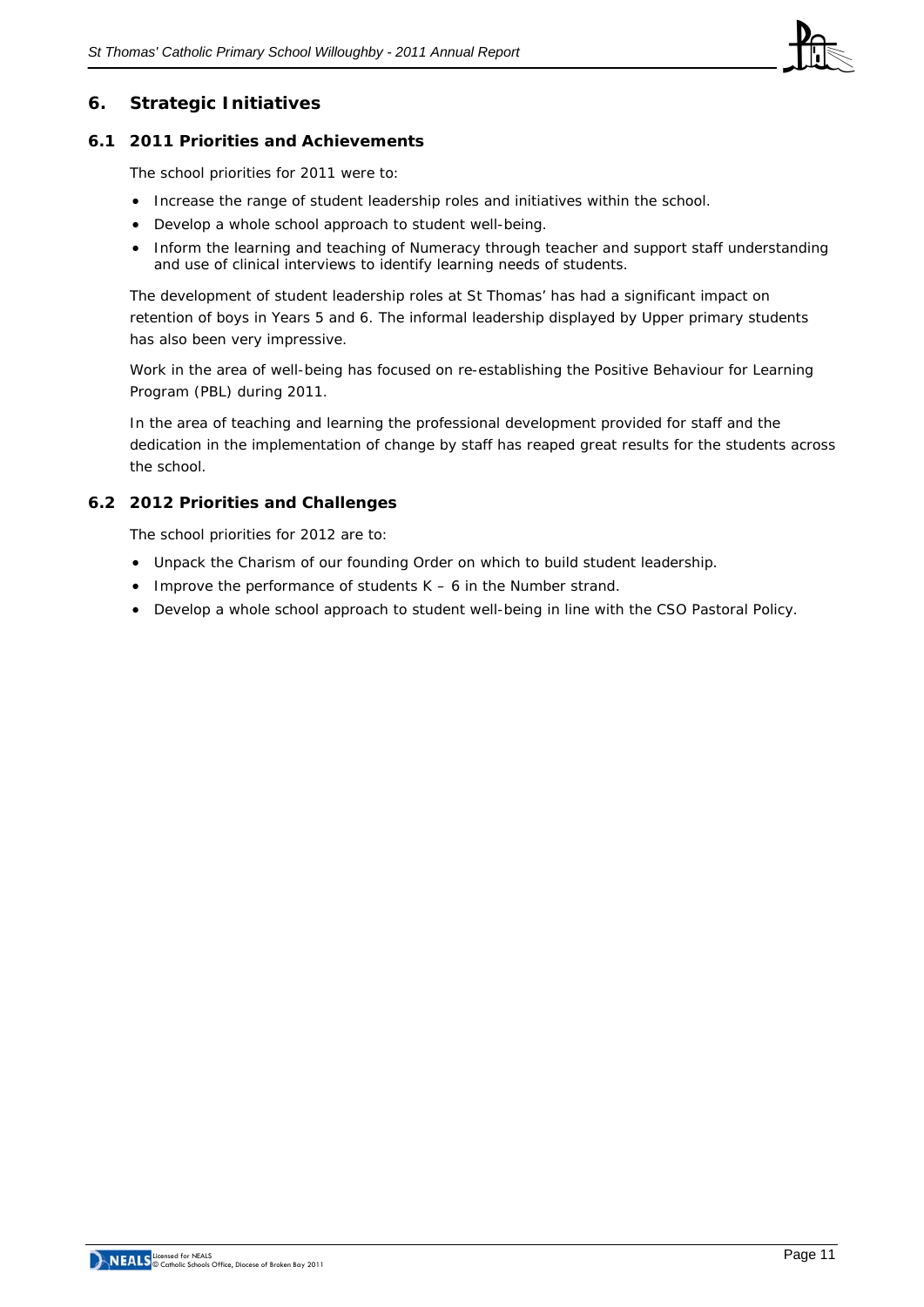

# **6. Strategic Initiatives**

#### **6.1 2011 Priorities and Achievements**

The school priorities for 2011 were to:

- Increase the range of student leadership roles and initiatives within the school.
- Develop a whole school approach to student well-being.
- Inform the learning and teaching of Numeracy through teacher and support staff understanding and use of clinical interviews to identify learning needs of students.

The development of student leadership roles at St Thomas' has had a significant impact on retention of boys in Years 5 and 6. The informal leadership displayed by Upper primary students has also been very impressive.

Work in the area of well-being has focused on re-establishing the Positive Behaviour for Learning Program (PBL) during 2011.

In the area of teaching and learning the professional development provided for staff and the dedication in the implementation of change by staff has reaped great results for the students across the school.

#### **6.2 2012 Priorities and Challenges**

The school priorities for 2012 are to:

- Unpack the Charism of our founding Order on which to build student leadership.
- Improve the performance of students K 6 in the Number strand.
- Develop a whole school approach to student well-being in line with the CSO Pastoral Policy.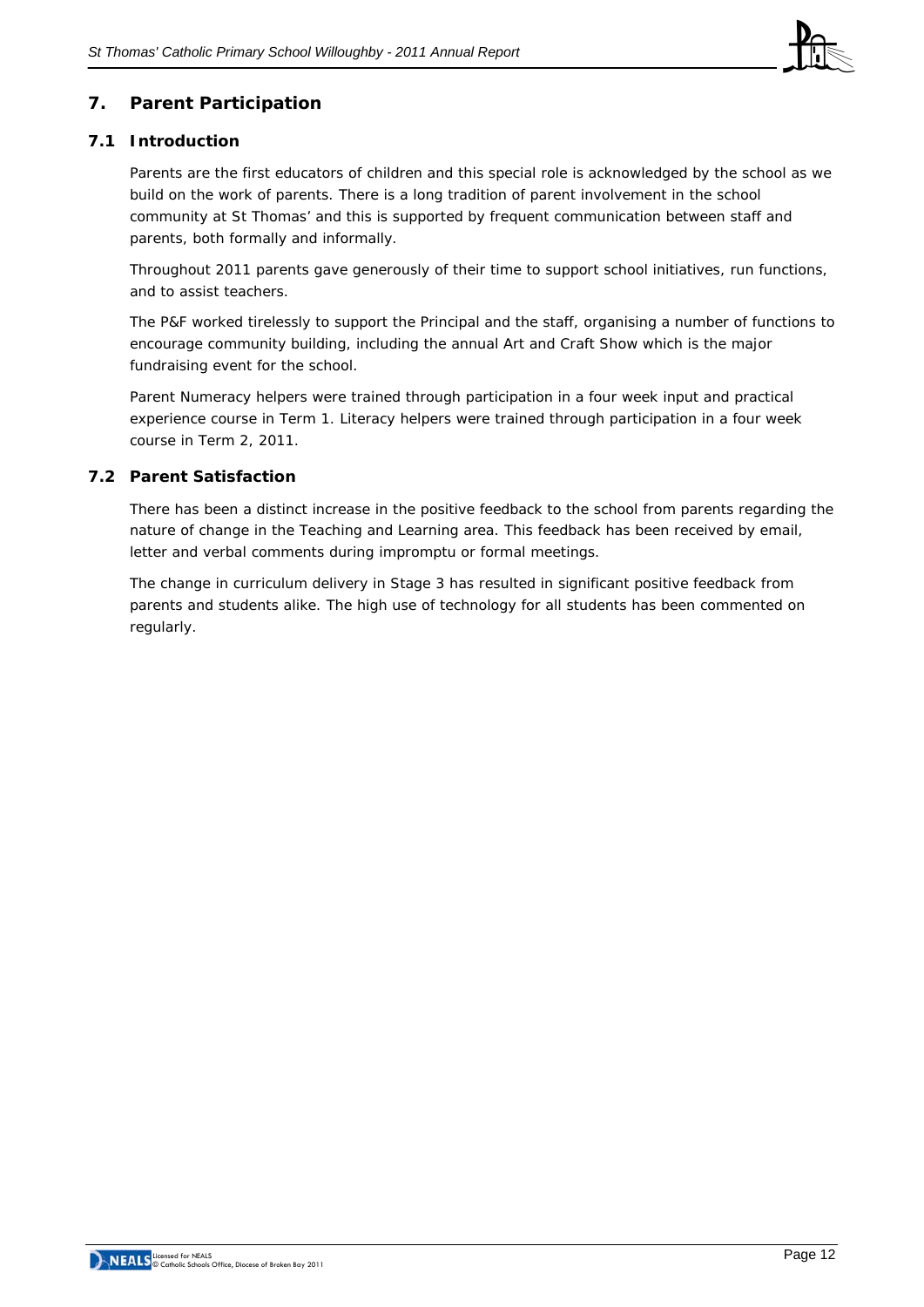

# **7. Parent Participation**

#### **7.1 Introduction**

Parents are the first educators of children and this special role is acknowledged by the school as we build on the work of parents. There is a long tradition of parent involvement in the school community at St Thomas' and this is supported by frequent communication between staff and parents, both formally and informally.

Throughout 2011 parents gave generously of their time to support school initiatives, run functions, and to assist teachers.

The P&F worked tirelessly to support the Principal and the staff, organising a number of functions to encourage community building, including the annual Art and Craft Show which is the major fundraising event for the school.

Parent Numeracy helpers were trained through participation in a four week input and practical experience course in Term 1. Literacy helpers were trained through participation in a four week course in Term 2, 2011.

# **7.2 Parent Satisfaction**

There has been a distinct increase in the positive feedback to the school from parents regarding the nature of change in the Teaching and Learning area. This feedback has been received by email, letter and verbal comments during impromptu or formal meetings.

The change in curriculum delivery in Stage 3 has resulted in significant positive feedback from parents and students alike. The high use of technology for all students has been commented on regularly.